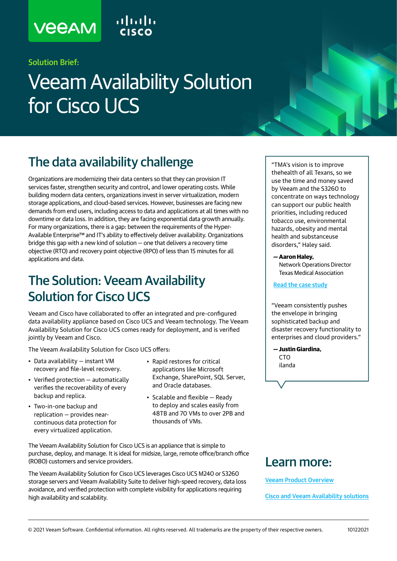# **VEEAM**

### Solution Brief:

# Veeam Availability Solution for Cisco UCS

## The data availability challenge

Organizations are modernizing their data centers so that they can provision IT services faster, strengthen security and control, and lower operating costs. While building modern data centers, organizations invest in server virtualization, modern storage applications, and cloud-based services. However, businesses are facing new demands from end users, including access to data and applications at all times with no downtime or data loss. In addition, they are facing exponential data growth annually. For many organizations, there is a gap: between the requirements of the Hyper-Available Enterprise™ and IT's ability to effectively deliver availability. Organizations bridge this gap with a new kind of solution — one that delivers a recovery time objective (RTO) and recovery point objective (RPO) of less than 15 minutes for all applications and data.

### The Solution: Veeam Availability Solution for Cisco UCS

Veeam and Cisco have collaborated to offer an integrated and pre-configured data availability appliance based on Cisco UCS and Veeam technology. The Veeam Availability Solution for Cisco UCS comes ready for deployment, and is verified jointly by Veeam and Cisco.

The Veeam Availability Solution for Cisco UCS offers:

- ilanda Data availability instant VM recovery and file-level recovery.
- Verified protection automatically verifies the recoverability of every backup and replica.
- Two-in-one backup and replication — provides nearcontinuous data protection for every virtualized application.
- Rapid restores for critical applications like Microsoft Exchange, SharePoint, SQL Server, and Oracle databases.
- Scalable and flexible Ready to deploy and scales easily from 48TB and 70 VMs to over 2PB and thousands of VMs.

The Veeam Availability Solution for Cisco UCS is an appliance that is simple to purchase, deploy, and manage. It is ideal for midsize, large, remote office/branch office (ROBO) customers and service providers.

The Veeam Availability Solution for Cisco UCS leverages Cisco UCS M240 or S3260 storage servers and Veeam Availability Suite to deliver high-speed recovery, data loss avoidance, and verified protection with complete visibility for applications requiring high availability and scalability.

### Learn more:

[Veeam Product Overview](https://www.veeam.com/vm-backup-recovery-replication-software.html)

[Cisco and Veeam Availability solutions](https://www.veeam.com/veeam-cisco-ucs.html)

"TMA's vision is to improve thehealth of all Texans, so we use the time and money saved by Veeam and the S3260 to concentrate on ways technology can support our public health priorities, including reduced tobacco use, environmental hazards, obesity and mental health and substanceuse disorders," Haley said.

#### **— Aaron Haley,**

Network Operations Director Texas Medical Association

#### [Read the case study](https://www.veeam.com/success-stories/texas-medical-association-success-story.html)

"Veeam consistently pushes the envelope in bringing sophisticated backup and disaster recovery functionality to enterprises and cloud providers."

**— Justin Giardina, CTO**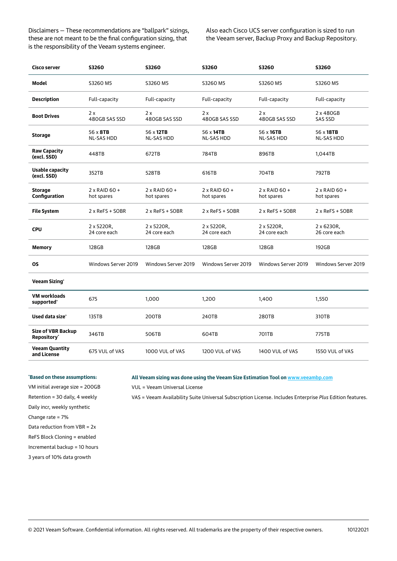Disclaimers — These recommendations are "ballpark" sizings, these are not meant to be the final configuration sizing, that is the responsibility of the Veeam systems engineer.

Also each Cisco UCS server configuration is sized to run the Veeam server, Backup Proxy and Backup Repository.

| Cisco server                                         | <b>S3260</b>                       | <b>S3260</b>                       | <b>S3260</b>                       | <b>S3260</b>                       | <b>S3260</b>                       |
|------------------------------------------------------|------------------------------------|------------------------------------|------------------------------------|------------------------------------|------------------------------------|
| <b>Model</b>                                         | S3260 M5                           | S3260 M5                           | S3260 M5                           | S3260 M5                           | S3260 M5                           |
| <b>Description</b>                                   | Full-capacity                      | Full-capacity                      | Full-capacity                      | Full-capacity                      | Full-capacity                      |
| <b>Boot Drives</b>                                   | 2x<br>480GB SAS SSD                | 2x<br>480GB SAS SSD                | 2x<br>480GB SAS SSD                | 2x<br>480GB SAS SSD                | 2 x 480GB<br><b>SAS SSD</b>        |
| <b>Storage</b>                                       | 56 x 8TB<br><b>NL-SAS HDD</b>      | 56 x 12TB<br>NL-SAS HDD            | 56 x 14TB<br><b>NL-SAS HDD</b>     | 56 x 16TB<br><b>NL-SAS HDD</b>     | 56 x 18TB<br>NL-SAS HDD            |
| <b>Raw Capacity</b><br>(excl. SSD)                   | 448TB                              | 672TB                              | 784TB                              | 896TB                              | 1,044TB                            |
| <b>Usable capacity</b><br>(excl. SSD)                | 352TB                              | 528TB                              | 616TB                              | 704TB                              | 792TB                              |
| <b>Storage</b><br>Configuration                      | $2 \times$ RAID 60 +<br>hot spares | $2 \times$ RAID 60 +<br>hot spares | $2 \times$ RAID 60 +<br>hot spares | $2 \times$ RAID 60 +<br>hot spares | $2 \times$ RAID 60 +<br>hot spares |
| <b>File System</b>                                   | 2 x ReFS + SOBR                    | 2 x ReFS + SOBR                    | 2 x ReFS + SOBR                    | $2 \times$ ReFS + SOBR             | 2 x ReFS + SOBR                    |
| <b>CPU</b>                                           | 2 x 5220R,<br>24 core each         | 2 x 5220R,<br>24 core each         | 2 x 5220R,<br>24 core each         | 2 x 5220R,<br>24 core each         | 2 x 6230R,<br>26 core each         |
| Memory                                               | 128GB                              | 128GB                              | 128GB                              | 128GB                              | 192GB                              |
| <b>OS</b>                                            | Windows Server 2019                | Windows Server 2019                | Windows Server 2019                | Windows Server 2019                | Windows Server 2019                |
| <b>Veeam Sizing*</b>                                 |                                    |                                    |                                    |                                    |                                    |
| <b>VM workloads</b><br>supported'                    | 675                                | 1,000                              | 1,200                              | 1,400                              | 1,550                              |
| Used data size*                                      | 135TB                              | 200TB                              | 240TB                              | 280TB                              | 310TB                              |
| <b>Size of VBR Backup</b><br>Repository <sup>*</sup> | 346TB                              | 506TB                              | 604TB                              | 701TB                              | 775TB                              |
| <b>Veeam Quantity</b><br>and License                 | 675 VUL of VAS                     | 1000 VUL of VAS                    | 1200 VUL of VAS                    | 1400 VUL of VAS                    | 1550 VUL of VAS                    |

#### **\* Based on these assumptions:**

VM initial average size = 200GB Retention = 30 daily, 4 weekly

VAS = Veeam Availability Suite Universal Subscription License. Includes Enterprise *Plus* Edition features.

**All Veeam sizing was done using the Veeam Size Estimation Tool on** [www.veeambp.com](http://www.veeambp.com)

Daily incr, weekly synthetic

Change rate = 7%

Data reduction from VBR = 2x

ReFS Block Cloning = enabled

Incremental backup = 10 hours

3 years of 10% data growth

VUL = Veeam Universal License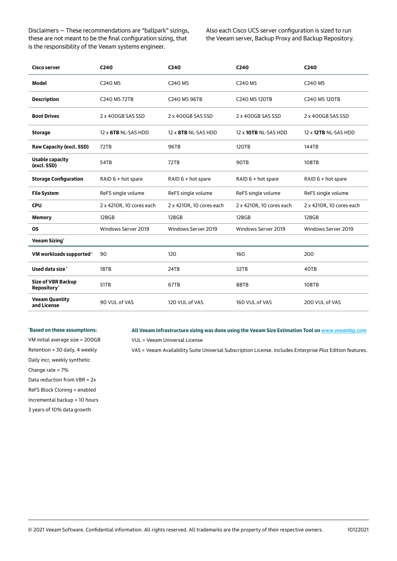Disclaimers — These recommendations are "ballpark" sizings, these are not meant to be the final configuration sizing, that is the responsibility of the Veeam systems engineer.

Also each Cisco UCS server configuration is sized to run the Veeam server, Backup Proxy and Backup Repository.

| Cisco server                             | C <sub>240</sub>           | C <sub>240</sub>         | C <sub>240</sub>         | C <sub>240</sub>         |
|------------------------------------------|----------------------------|--------------------------|--------------------------|--------------------------|
| <b>Model</b>                             | C240 M5                    | C240 M5                  | C240 M5                  | C240 M5                  |
| <b>Description</b>                       | C240 M5 72TB               | C240 M5 96TB             | C240 M5 120TB            | C240 M5 120TB            |
| <b>Boot Drives</b>                       | 2 x 400GB SAS SSD          | 2 x 400GB SAS SSD        | 2 x 400GB SAS SSD        | 2 x 400GB SAS SSD        |
| <b>Storage</b>                           | $12 \times$ 6TB NL-SAS HDD | 12 x 8TB NL-SAS HDD      | 12 x 10TB NL-SAS HDD     | 12 x 12TB NL-SAS HDD     |
| Raw Capacity (excl. SSD)                 | 72TB                       | <b>96TB</b>              | <b>120TB</b>             | 144TB                    |
| <b>Usable capacity</b><br>(excl. SSD)    | 54TB                       | 72TB                     | 90TB                     | 108TB                    |
| <b>Storage Configuration</b>             | RAID $6 + hot$ spare       | RAID 6 + hot spare       | RAID 6 + hot spare       | RAID 6 + hot spare       |
| <b>File System</b>                       | ReFS single volume         | ReFS single volume       | ReFS single volume       | ReFS single volume       |
| <b>CPU</b>                               | 2 x 4210R, 10 cores each   | 2 x 4210R, 10 cores each | 2 x 4210R, 10 cores each | 2 x 4210R, 10 cores each |
| <b>Memory</b>                            | 128GB                      | 128GB                    | 128GB                    | 128GB                    |
| <b>OS</b>                                | Windows Server 2019        | Windows Server 2019      | Windows Server 2019      | Windows Server 2019      |
| <b>Veeam Sizing*</b>                     |                            |                          |                          |                          |
| VM workloads supported*                  | 90                         | 120                      | 160                      | 200                      |
| Used data size*                          | 18TB                       | 24TB                     | 32TB                     | 40TB                     |
| <b>Size of VBR Backup</b><br>Repository* | 51TB                       | 67TB                     | 88TB                     | 108TB                    |
| <b>Veeam Quantity</b><br>and License     | 90 VUL of VAS              | 120 VUL of VAS           | 160 VUL of VAS           | 200 VUL of VAS           |

#### **\* Based on these assumptions:**

VM initial average size = 200GB Retention = 30 daily, 4 weekly Daily incr, weekly synthetic Change rate = 7% Data reduction from VBR = 2x ReFS Block Cloning = enabled Incremental backup = 10 hours 3 years of 10% data growth

#### **All Veeam infrastructure sizing was done using the Veeam Size Estimation Tool on** [www.veeambp.com](http://www.veeambp.com)

VUL = Veeam Universal License

VAS = Veeam Availability Suite Universal Subscription License. Includes Enterprise *Plus* Edition features.